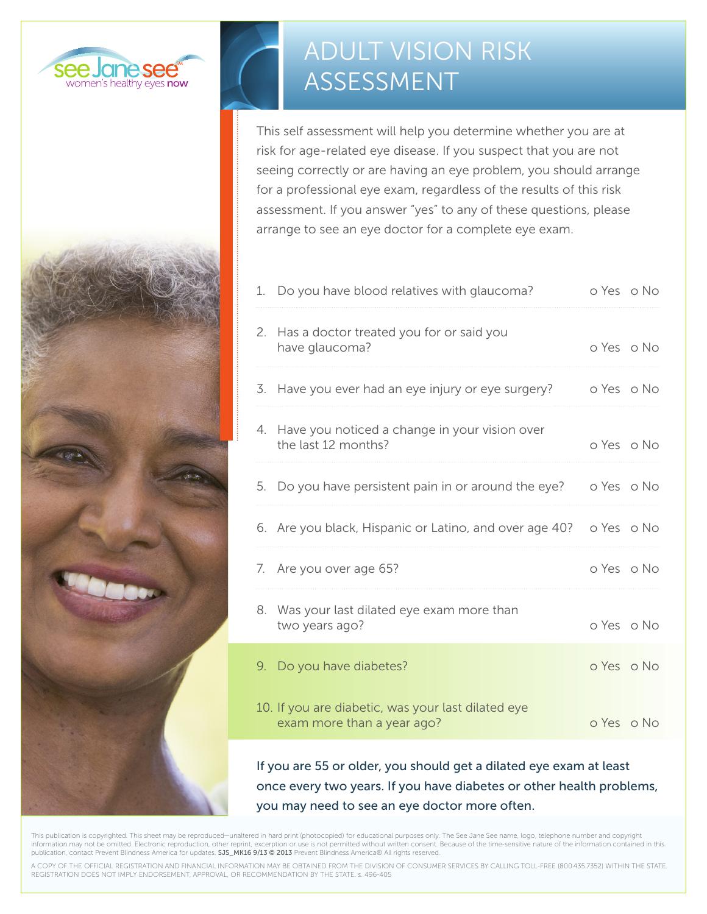



# ADULT VISION RISK ASSESSMENT

This self assessment will help you determine whether you are at risk for age-related eye disease. If you suspect that you are not seeing correctly or are having an eye problem, you should arrange for a professional eye exam, regardless of the results of this risk assessment. If you answer "yes" to any of these questions, please arrange to see an eye doctor for a complete eye exam.

| 1. | Do you have blood relatives with glaucoma?                                       | o Yes o No |  |
|----|----------------------------------------------------------------------------------|------------|--|
| 2. | Has a doctor treated you for or said you<br>have glaucoma?                       | o Yes o No |  |
|    | 3. Have you ever had an eye injury or eye surgery?                               | o Yes o No |  |
|    | 4. Have you noticed a change in your vision over<br>the last 12 months?          | o Yes o No |  |
|    | 5. Do you have persistent pain in or around the eye?                             | o Yes o No |  |
|    | 6. Are you black, Hispanic or Latino, and over age 40?                           | o Yes o No |  |
|    | 7. Are you over age 65?                                                          | o Yes o No |  |
|    | 8. Was your last dilated eye exam more than<br>two years ago?                    | o Yes o No |  |
|    | 9. Do you have diabetes?                                                         | o Yes o No |  |
|    | 10. If you are diabetic, was your last dilated eye<br>exam more than a year ago? | o Yes o No |  |
|    |                                                                                  |            |  |

If you are 55 or older, you should get a dilated eye exam at least once every two years. If you have diabetes or other health problems, you may need to see an eye doctor more often.

This publication is copyrighted. This sheet may be reproduced—unaltered in hard print (photocopied) for educational purposes only. The See Jane See name, logo, telephone number and copyright information may not be omitted. Electronic reproduction, other reprint, excerption or use is not permitted without written consent. Because of the time-sensitive nature of the information contained in this publication, contact Prevent Blindness America for updates. SJS\_MK16 9/13 @ 2013 Prevent Blindness America® All rights reserved.

A COPY OF THE OFFICIAL REGISTRATION AND FINANCIAL INFORMATION MAY BE OBTAINED FROM THE DIVISION OF CONSUMER SERVICES BY CALLING TOLL-FREE (800.435.7352) WITHIN THE STATE. REGISTRATION DOES NOT IMPLY ENDORSEMENT, APPROVAL, OR RECOMMENDATION BY THE STATE. s. 496-405